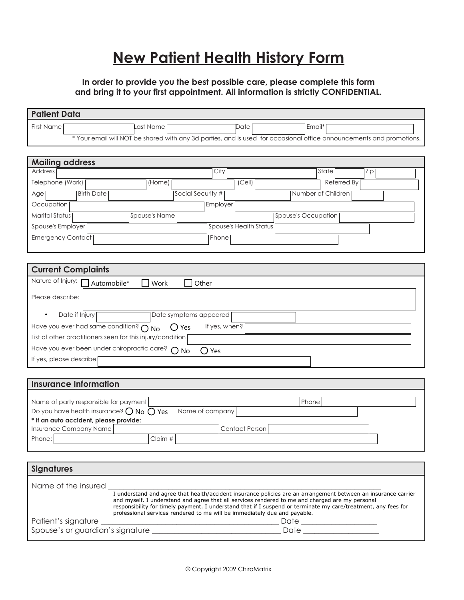## **New Patient Health History Form**

## **In order to provide you the best possible care, please complete this form and bring it to your first appointment. All information is strictly CONFIDENTIAL.**

| <b>Patient Data</b>                                                                                                                                                                                               |  |  |  |  |
|-------------------------------------------------------------------------------------------------------------------------------------------------------------------------------------------------------------------|--|--|--|--|
| First Name<br>Last Name<br>Date<br>Email*                                                                                                                                                                         |  |  |  |  |
| * Your email will NOT be shared with any 3d parties, and is used for occasional office announcements and promotions.                                                                                              |  |  |  |  |
|                                                                                                                                                                                                                   |  |  |  |  |
| <b>Mailing address</b>                                                                                                                                                                                            |  |  |  |  |
| Address<br>City<br>State<br>Zip                                                                                                                                                                                   |  |  |  |  |
| Telephone (Work)<br>(Home)<br>(Cell)<br>Referred By                                                                                                                                                               |  |  |  |  |
| <b>Birth Date</b><br>Social Security #<br>Number of Children<br>Age                                                                                                                                               |  |  |  |  |
| Occupation<br>Employer                                                                                                                                                                                            |  |  |  |  |
| <b>Marital Status</b><br><b>Spouse's Name</b><br>Spouse's Occupation                                                                                                                                              |  |  |  |  |
| Spouse's Health Status<br>Spouse's Employer                                                                                                                                                                       |  |  |  |  |
| <b>Emergency Contact</b><br>Phone                                                                                                                                                                                 |  |  |  |  |
|                                                                                                                                                                                                                   |  |  |  |  |
|                                                                                                                                                                                                                   |  |  |  |  |
| <b>Current Complaints</b>                                                                                                                                                                                         |  |  |  |  |
| Nature of Injury: <u>[ ]</u> Automobile*<br>Work<br>Other                                                                                                                                                         |  |  |  |  |
| Please describe:                                                                                                                                                                                                  |  |  |  |  |
|                                                                                                                                                                                                                   |  |  |  |  |
| Date if Injury<br>Date symptoms appeared                                                                                                                                                                          |  |  |  |  |
| Have you ever had same condition? $\bigcap$ No<br>If yes, when?<br>( ) Yes                                                                                                                                        |  |  |  |  |
| List of other practitioners seen for this injury/condition                                                                                                                                                        |  |  |  |  |
| Have you ever been under chiropractic care? O No<br>$\bigcirc$ Yes                                                                                                                                                |  |  |  |  |
| If yes, please describe                                                                                                                                                                                           |  |  |  |  |
|                                                                                                                                                                                                                   |  |  |  |  |
| <b>Insurance Information</b>                                                                                                                                                                                      |  |  |  |  |
|                                                                                                                                                                                                                   |  |  |  |  |
| Name of party responsible for payment<br>Phone                                                                                                                                                                    |  |  |  |  |
| Do you have health insurance? $\bigcirc$ No $\bigcirc$ Yes<br>Name of company<br>* If an auto accident, please provide:                                                                                           |  |  |  |  |
| <b>Contact Person</b><br>Insurance Company Name                                                                                                                                                                   |  |  |  |  |
| Claim #<br>Phone:                                                                                                                                                                                                 |  |  |  |  |
|                                                                                                                                                                                                                   |  |  |  |  |
|                                                                                                                                                                                                                   |  |  |  |  |
| <b>Signatures</b>                                                                                                                                                                                                 |  |  |  |  |
| Name of the insured                                                                                                                                                                                               |  |  |  |  |
| I understand and agree that health/accident insurance policies are an arrangement between an insurance carrier<br>and myself. I understand and agree that all services rendered to me and charged are my personal |  |  |  |  |
| responsibility for timely payment. I understand that if I suspend or terminate my care/treatment, any fees for                                                                                                    |  |  |  |  |
| professional services rendered to me will be immediately due and payable.<br>Patient's signature ___                                                                                                              |  |  |  |  |
|                                                                                                                                                                                                                   |  |  |  |  |
|                                                                                                                                                                                                                   |  |  |  |  |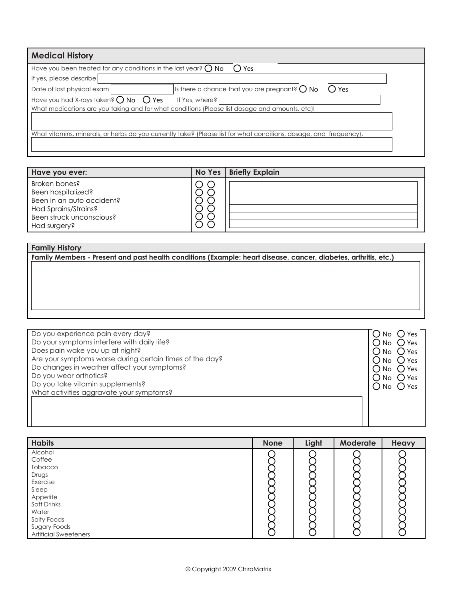| <b>Medical History</b>                                                                        |                                                                                                                    |  |  |  |
|-----------------------------------------------------------------------------------------------|--------------------------------------------------------------------------------------------------------------------|--|--|--|
| Have you been treated for any conditions in the last year? $\bigcirc$ No<br>Yes ›<br>(        |                                                                                                                    |  |  |  |
| If yes, please describe                                                                       |                                                                                                                    |  |  |  |
| Date of last physical exam                                                                    | Is there a chance that you are pregnant? $\bigcirc$ No<br>() Yes                                                   |  |  |  |
| Have you had X-rays taken? $\bigcirc$ No $\bigcirc$ Yes                                       | If Yes, where?                                                                                                     |  |  |  |
| What medications are you taking and for what conditions (Please list dosage and amounts, etc) |                                                                                                                    |  |  |  |
|                                                                                               |                                                                                                                    |  |  |  |
|                                                                                               | What vitamins, minerals, or herbs do you currently take? (Please list for what conditions, dosage, and frequency). |  |  |  |
|                                                                                               |                                                                                                                    |  |  |  |
|                                                                                               |                                                                                                                    |  |  |  |

| Have you ever:                                                                                                                       | No Yes | <b>Briefly Explain</b> |
|--------------------------------------------------------------------------------------------------------------------------------------|--------|------------------------|
| Broken bones?<br>Been hospitalized?<br>Been in an auto accident?<br>Had Sprains/Strains?<br>Been struck unconscious?<br>Had surgery? |        |                        |

## **Family History Family Members - Present and past health conditions (Example: heart disease, cancer, diabetes, arthritis, etc.)**

| Do you experience pain every day?                        | .) Yes                      |
|----------------------------------------------------------|-----------------------------|
| Do your symptoms interfere with daily life?              | ( ) Yes<br>∴No              |
| Does pain wake you up at night?                          | ∵No ∪ Yes                   |
| Are your symptoms worse during certain times of the day? | $\bigcup$ No $\bigcirc$ Yes |
| Do changes in weather affect your symptoms?              | $()$ Yes<br>$\cdot$ ) No    |
| Do you wear orthotics?                                   | ()No ( )Yes                 |
| Do you take vitamin supplements?                         | $()$ Yes<br>$\sqrt{N_0}$    |
| What activities aggravate your symptoms?                 |                             |
|                                                          |                             |
|                                                          |                             |
|                                                          |                             |
|                                                          |                             |

| <b>Habits</b>                | <b>None</b> | Light | Moderate | Heavy |
|------------------------------|-------------|-------|----------|-------|
| Alcohol                      |             |       |          |       |
| Coffee                       |             |       |          |       |
| Tobacco                      |             |       |          |       |
| Drugs                        |             |       |          |       |
| Exercise                     |             |       |          |       |
| Sleep                        |             |       |          |       |
| Appetite                     |             |       |          |       |
| Soft Drinks                  |             |       |          |       |
| Water                        |             |       |          |       |
| Salty Foods                  |             |       |          |       |
| Sugary Foods                 |             |       |          |       |
| <b>Artificial Sweeteners</b> |             |       |          |       |